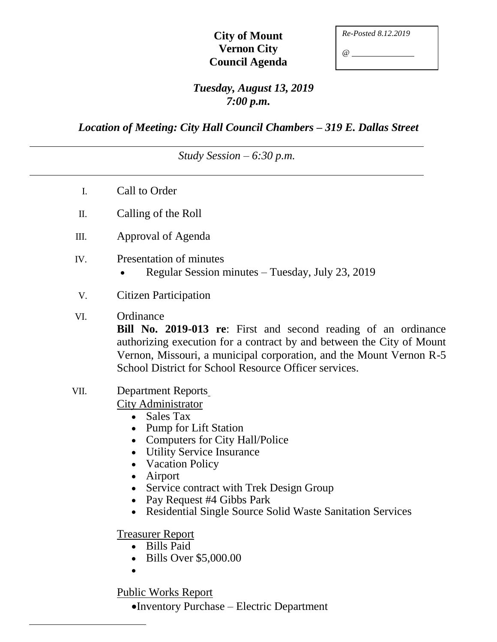# **City of Mount Vernon City Council Agenda**

| Re-Posted 8.12.2019 |  |
|---------------------|--|
| @)                  |  |

# *Tuesday, August 13, 2019 7:00 p.m.*

*Location of Meeting: City Hall Council Chambers – 319 E. Dallas Street*

### *Study Session – 6:30 p.m.*

- I. Call to Order
- II. Calling of the Roll
- III. Approval of Agenda
- IV. Presentation of minutes
	- Regular Session minutes Tuesday, July 23, 2019
- V. Citizen Participation
- VI. Ordinance

**Bill No. 2019-013 re**: First and second reading of an ordinance authorizing execution for a contract by and between the City of Mount Vernon, Missouri, a municipal corporation, and the Mount Vernon R-5 School District for School Resource Officer services.

VII. Department Reports City Administrator

• Sales Tax

- Pump for Lift Station
- Computers for City Hall/Police
- Utility Service Insurance
- Vacation Policy
- Airport
- Service contract with Trek Design Group
- Pay Request #4 Gibbs Park
- Residential Single Source Solid Waste Sanitation Services

#### Treasurer Report

- Bills Paid
- Bills Over \$5,000.00
- $\bullet$

# Public Works Report

Inventory Purchase – Electric Department